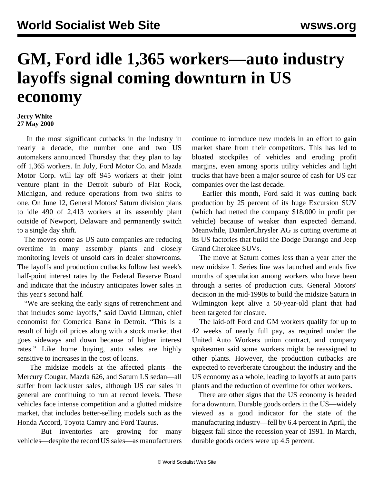## **GM, Ford idle 1,365 workers—auto industry layoffs signal coming downturn in US economy**

## **Jerry White 27 May 2000**

 In the most significant cutbacks in the industry in nearly a decade, the number one and two US automakers announced Thursday that they plan to lay off 1,365 workers. In July, Ford Motor Co. and Mazda Motor Corp. will lay off 945 workers at their joint venture plant in the Detroit suburb of Flat Rock, Michigan, and reduce operations from two shifts to one. On June 12, General Motors' Saturn division plans to idle 490 of 2,413 workers at its assembly plant outside of Newport, Delaware and permanently switch to a single day shift.

 The moves come as US auto companies are reducing overtime in many assembly plants and closely monitoring levels of unsold cars in dealer showrooms. The layoffs and production cutbacks follow last week's half-point interest rates by the Federal Reserve Board and indicate that the industry anticipates lower sales in this year's second half.

 "We are seeking the early signs of retrenchment and that includes some layoffs," said David Littman, chief economist for Comerica Bank in Detroit. "This is a result of high oil prices along with a stock market that goes sideways and down because of higher interest rates." Like home buying, auto sales are highly sensitive to increases in the cost of loans.

 The midsize models at the affected plants—the Mercury Cougar, Mazda 626, and Saturn LS sedan—all suffer from lackluster sales, although US car sales in general are continuing to run at record levels. These vehicles face intense competition and a glutted midsize market, that includes better-selling models such as the Honda Accord, Toyota Camry and Ford Taurus.

 But inventories are growing for many vehicles—despite the record US sales—as manufacturers

continue to introduce new models in an effort to gain market share from their competitors. This has led to bloated stockpiles of vehicles and eroding profit margins, even among sports utility vehicles and light trucks that have been a major source of cash for US car companies over the last decade.

 Earlier this month, Ford said it was cutting back production by 25 percent of its huge Excursion SUV (which had netted the company \$18,000 in profit per vehicle) because of weaker than expected demand. Meanwhile, DaimlerChrysler AG is cutting overtime at its US factories that build the Dodge Durango and Jeep Grand Cherokee SUVs.

 The move at Saturn comes less than a year after the new midsize L Series line was launched and ends five months of speculation among workers who have been through a series of production cuts. General Motors' decision in the mid-1990s to build the midsize Saturn in Wilmington kept alive a 50-year-old plant that had been targeted for closure.

 The laid-off Ford and GM workers qualify for up to 42 weeks of nearly full pay, as required under the United Auto Workers union contract, and company spokesmen said some workers might be reassigned to other plants. However, the production cutbacks are expected to reverberate throughout the industry and the US economy as a whole, leading to layoffs at auto parts plants and the reduction of overtime for other workers.

 There are other signs that the US economy is headed for a downturn. Durable goods orders in the US—widely viewed as a good indicator for the state of the manufacturing industry—fell by 6.4 percent in April, the biggest fall since the recession year of 1991. In March, durable goods orders were up 4.5 percent.